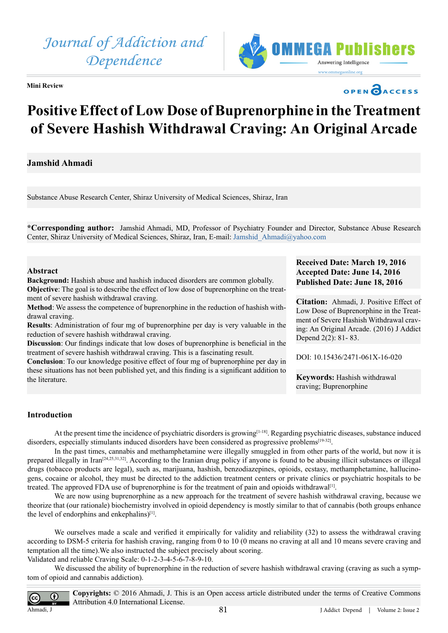

**Mini Review** 

# OPEN CACCESS

# **Positive Effect of Low Dose of Buprenorphine in the Treatment of Severe Hashish Withdrawal Craving: An Original Arcade**

## **Jamshid Ahmadi**

Substance Abuse Research Center, Shiraz University of Medical Sciences, Shiraz, Iran

**\*Corresponding author:** Jamshid Ahmadi, MD, Professor of Psychiatry Founder and Director, Substance Abuse Research Center, Shiraz University of Medical Sciences, Shiraz, Iran, E-mail: [Jamshid\\_Ahmadi@yahoo.com](mailto:Jamshid_Ahmadi@yahoo.com)

#### **Abstract**

**Background:** Hashish abuse and hashish induced disorders are common globally. **Objective**: The goal is to describe the effect of low dose of buprenorphine on the treatment of severe hashish withdrawal craving.

**Method**: We assess the competence of buprenorphine in the reduction of hashish withdrawal craving.

**Results**: Administration of four mg of buprenorphine per day is very valuable in the reduction of severe hashish withdrawal craving.

**Discussion**: Our findings indicate that low doses of buprenorphine is beneficial in the treatment of severe hashish withdrawal craving. This is a fascinating result.

**Conclusion**: To our knowledge positive effect of four mg of buprenorphine per day in these situations has not been published yet, and this finding is a significant addition to the literature.

### **Received Date: March 19, 2016 Accepted Date: June 14, 2016 Published Date: June 18, 2016**

**Citation:** Ahmadi, J. Positive Effect of Low Dose of Buprenorphine in the Treatment of Severe Hashish Withdrawal craving: An Original Arcade. (2016) J Addict Depend 2(2): 81- 83.

DOI: [10.15436/2471-061X-16-0](http://www.dx.doi.org/10.15436/2471-061X-16-020)20

**Keywords:** Hashish withdrawal craving; Buprenorphine

#### **Introduction**

At the present time the incidence of psychiatric disorders is growing<sup>[\[1-18\]](#page-1-0)</sup>. Regarding psychiatric diseases, substance induced disorders, especially stimulants induced disorders have been considered as progressive problems<sup>[\[19-32\]](#page-1-1)</sup>.

In the past times, cannabis and methamphetamine were illegally smuggled in from other parts of the world, but now it is prepared illegally in Ira[n\[24,25,31,32\].](#page-2-0) According to the Iranian drug policy if anyone is found to be abusing illicit substances or illegal drugs (tobacco products are legal), such as, marijuana, hashish, benzodiazepines, opioids, ecstasy, methamphetamine, hallucinogens, cocaine or alcohol, they must be directed to the addiction treatment centers or private clinics or psychiatric hospitals to be treated. The approved FDA use of buprenorphine is for the treatment of pain and opioids withdrawa[l\[1\]](#page-1-0).

We are now using buprenorphine as a new approach for the treatment of severe hashish withdrawal craving, because we theorize that (our rationale) biochemistry involved in opioid dependency is mostly similar to that of cannabis (both groups enhance the level of endorphins and enkephalins)<sup>[1]</sup>.

We ourselves made a scale and verified it empirically for validity and reliability (32) to assess the withdrawal craving according to DSM-5 criteria for hashish craving, ranging from 0 to 10 (0 means no craving at all and 10 means severe craving and temptation all the time).We also instructed the subject precisely about scoring. Validated and reliable Craving Scale: 0-1-2-3-4-5-6-7-8-9-10.

We discussed the ability of buprenorphine in the reduction of severe hashish withdrawal craving (craving as such a symptom of opioid and cannabis addiction).

 $\odot$ Ahmadi, J

**Copyrights:** © 2016 Ahmadi, J. This is an Open access article distributed under the terms of Creative Commons Attribution 4.0 International License.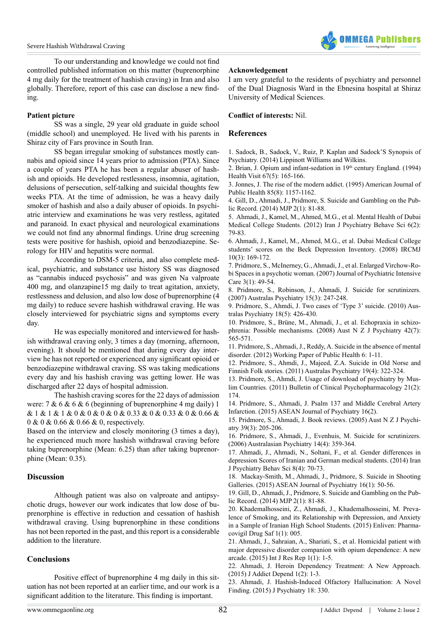

To our understanding and knowledge we could not find controlled published information on this matter (buprenorphine 4 mg daily for the treatment of hashish craving) in Iran and also globally. Therefore, report of this case can disclose a new finding.

#### **Patient picture**

SS was a single, 29 year old graduate in guide school (middle school) and unemployed. He lived with his parents in Shiraz city of Fars province in South Iran.

SS began irregular smoking of substances mostly cannabis and opioid since 14 years prior to admission (PTA). Since a couple of years PTA he has been a regular abuser of hashish and opioids. He developed restlessness, insomnia, agitation, delusions of persecution, self-talking and suicidal thoughts few weeks PTA. At the time of admission, he was a heavy daily smoker of hashish and also a daily abuser of opioids. In psychiatric interview and examinations he was very restless, agitated and paranoid. In exact physical and neurological examinations we could not find any abnormal findings. Urine drug screening tests were positive for hashish, opioid and benzodiazepine. Serology for HIV and hepatitis were normal.

According to DSM-5 criteria, and also complete medical, psychiatric, and substance use history SS was diagnosed as "cannabis induced psychosis" and was given Na valproate 400 mg, and olanzapine15 mg daily to treat agitation, anxiety, restlessness and delusion, and also low dose of buprenorphine (4 mg daily) to reduce severe hashish withdrawal craving. He was closely interviewed for psychiatric signs and symptoms every day.

He was especially monitored and interviewed for hashish withdrawal craving only, 3 times a day (morning, afternoon, evening). It should be mentioned that during every day interview he has not reported or experienced any significant opioid or benzodiazepine withdrawal craving. SS was taking medications every day and his hashish craving was getting lower. He was discharged after 22 days of hospital admission.

The hashish craving scores for the 22 days of admission were: 7 & 6 & 6 & 6 (beginning of buprenorphine 4 mg daily) 1 & 1 & 1 & 1 & 0 & 0 & 0 & 0 & 0.33 & 0 & 0.33 & 0 & 0.66 & 0 & 0 & 0.66 & 0.66 & 0, respectively.

Based on the interview and closely monitoring (3 times a day), he experienced much more hashish withdrawal craving before taking buprenorphine (Mean: 6.25) than after taking buprenorphine (Mean: 0.35).

#### **Discussion**

Although patient was also on valproate and antipsychotic drugs, however our work indicates that low dose of buprenorphine is effective in reduction and cessation of hashish withdrawal craving. Using buprenorphine in these conditions has not been reported in the past, and this report is a considerable addition to the literature.

#### **Conclusions**

Positive effect of buprenorphine 4 mg daily in this situation has not been reported at an earlier time, and our work is a significant addition to the literature. This finding is important.

I am very grateful to the residents of psychiatry and personnel of the Dual Diagnosis Ward in the Ebnesina hospital at Shiraz University of Medical Sciences.

#### **Conflict of interests:** Nil.

#### **References**

<span id="page-1-0"></span>1. [Sadock, B., Sadock, V., Ruiz, P. Kaplan and Sadock'S Synopsis of](https://www.bookdepository.com/Kaplan-Sadocks-Synopsis-Psychiatry-Pedro-Ruiz/9781609139711) [Psychiatry. \(2014\) Lippinott Williams and Wilkins.](https://www.bookdepository.com/Kaplan-Sadocks-Synopsis-Psychiatry-Pedro-Ruiz/9781609139711) 

2. [Brian, J. Opium and infant-sedation in 19th century England. \(1994\)](http://www.ncbi.nlm.nih.gov/pubmed/8063580) [Health Visit 67\(5\): 165-166.](http://www.ncbi.nlm.nih.gov/pubmed/8063580)

3. [Jonnes, J. The rise of the modern addict. \(1995\) American Journal of](http://ajph.aphapublications.org/doi/abs/10.2105/AJPH.85.8_Pt_1.1157) [Public Health 85\(8\): 1157-1162.](http://ajph.aphapublications.org/doi/abs/10.2105/AJPH.85.8_Pt_1.1157)

4. [Gill, D., Ahmadi, J., Pridmore, S. Suicide and Gambling on the Pub](http://www.mjpsychiatry.org/index.php/mjp/article/view/291)[lic Record. \(2014\) MJP 2\(1\): 81-88.](http://www.mjpsychiatry.org/index.php/mjp/article/view/291)

5. [Ahmadi, J., Kamel, M., Ahmed, M.G., et al. Mental Health of Dubai](http://www.ncbi.nlm.nih.gov/pubmed/24644486) [Medical College Students. \(2012\) Iran J Psychiatry Behave Sci 6\(2\):](http://www.ncbi.nlm.nih.gov/pubmed/24644486) [79-83.](http://www.ncbi.nlm.nih.gov/pubmed/24644486) 

6. [Ahmadi, J., Kamel, M., Ahmed, M.G., et al. Dubai Medical College](http://ircmj.com/234.fulltext) [students' scores on the Beck Depression Inventory. \(2008\) IRCMJ](http://ircmj.com/234.fulltext) [10\(3\): 169-172.](http://ircmj.com/234.fulltext)

7. [Pridmore, S., McInerney, G., Ahmadi, J., et al. Enlarged Virchow-Ro](http://journals.cambridge.org/action/displayAbstract?fromPage=online&aid=1326300)[bi Spaces in a psychotic woman. \(2007\) Journal of Psychiatric Intensive](http://journals.cambridge.org/action/displayAbstract?fromPage=online&aid=1326300) [Care 3\(1\): 49-54.](http://journals.cambridge.org/action/displayAbstract?fromPage=online&aid=1326300) 

8. [Pridmore, S., Robinson, J., Ahmadi, J. Suicide for scrutinizers.](http://apy.sagepub.com/content/15/3/247.extract) [\(2007\) Australas Psychiatry 15\(3\): 247-248](http://apy.sagepub.com/content/15/3/247.extract).

9. [Pridmore, S., Ahmdi, J. Two cases of 'Type 3' suicide. \(2010\) Aus](http://www.ncbi.nlm.nih.gov/pubmed/20863181)[tralas Psychiatry 18\(5\): 426-430.](http://www.ncbi.nlm.nih.gov/pubmed/20863181)

10. [Pridmore, S., Brüne, M., Ahmadi, J., et al. Echopraxia in schizo](http://www.ncbi.nlm.nih.gov/pubmed/18612859)[phrenia: Possible mechanisms. \(2008\) Aust N Z J Psychiatry 42\(7\):](http://www.ncbi.nlm.nih.gov/pubmed/18612859) [565-571.](http://www.ncbi.nlm.nih.gov/pubmed/18612859)

11. [Pridmore, S., Ahmadi, J., Reddy, A. Suicide in the absence of mental](http://www.ospedale.al.it/AllegatiPaginaDescrizione/Paper-06_2012_new.pdf) [disorder. \(2012\) Working Paper of Public Health 6: 1-11.](http://www.ospedale.al.it/AllegatiPaginaDescrizione/Paper-06_2012_new.pdf)

12. [Pridmore, S., Ahmdi, J., Majeed, Z.A. Suicide in Old Norse and](http://www.ncbi.nlm.nih.gov/pubmed/21879867) [Finnish Folk stories. \(2011\) Australas Psychiatry 19\(4\): 322-324.](http://www.ncbi.nlm.nih.gov/pubmed/21879867)

13. [Pridmore, S., Ahmdi, J. Usage of download of psychiatry by Mus](http://www.scopemed.org/?mno=3832)[lim Countries. \(2011\) Bulletin of Clinical Psychopharmacology 21\(2\):](http://www.scopemed.org/?mno=3832) [174.](http://www.scopemed.org/?mno=3832)

14. [Pridmore, S., Ahmadi, J. Psalm 137 and Middle Cerebral Artery](http://www.aseanjournalofpsychiatry.org/index.php/aseanjournalofpsychiatry/article/viewFile/327/211) [Infarction. \(2015\) ASEAN Journal of Psychiatry 16\(2\).](http://www.aseanjournalofpsychiatry.org/index.php/aseanjournalofpsychiatry/article/viewFile/327/211)

15. [Pridmore, S., Ahmadi, J. Book reviews. \(2005\) Aust N Z J Psychi](http://www.tandfonline.com/doi/full/10.1080/j.1440-1614.2005.01545.x)[atry 39\(3\): 205-206.](http://www.tandfonline.com/doi/full/10.1080/j.1440-1614.2005.01545.x)

16. [Pridmore, S., Ahmadi, J., Evenhuis, M. Suicide for scrutinizers.](http://onlinelibrary.wiley.com/doi/10.1111/j.1440-1665.2006.02304.x/abstract) [\(2006\) Australasian Psychiatry 14\(4\): 359-364.](http://onlinelibrary.wiley.com/doi/10.1111/j.1440-1665.2006.02304.x/abstract)

17. [Ahmadi, J., Ahmadi, N., Soltani, F., et al. Gender differences in](http://www.ncbi.nlm.nih.gov/pmc/articles/PMC4364480/) [depression Scores of Iranian and German medical students. \(2014\) Iran](http://www.ncbi.nlm.nih.gov/pmc/articles/PMC4364480/) [J Psychiatry Behav Sci 8\(4\): 70-73.](http://www.ncbi.nlm.nih.gov/pmc/articles/PMC4364480/)

18. [Mackay-Smith, M., Ahmadi, J., Pridmore, S. Suicide in Shooting](http://www.aseanjournalofpsychiatry.org/index.php/aseanjournalofpsychiatry/article/viewFile/231/202) [Galleries. \(2015\) ASEAN Journal of Psychiatry 16\(1\): 50-56.](http://www.aseanjournalofpsychiatry.org/index.php/aseanjournalofpsychiatry/article/viewFile/231/202)

<span id="page-1-1"></span>19. [Gill, D., Ahmadi, J., Pridmore, S. Suicide and Gambling on the Pub](http://www.mjpsychiatry.org/index.php/mjp/article/view/291)[lic Record. \(2014\) MJP 2\(1\): 81-88.](http://www.mjpsychiatry.org/index.php/mjp/article/view/291)

20. [Khademalhosseini, Z., Ahmadi, J., Khademalhosseini, M. Preva](http://enlivenarchive.org/2378-5411-2-1-001.pdf)[lence of Smoking, and its Relationship with Depression, and Anxiety](http://enlivenarchive.org/2378-5411-2-1-001.pdf) [in a Sample of Iranian High School Students. \(2015\) Enliven: Pharma](http://enlivenarchive.org/2378-5411-2-1-001.pdf)[covigil Drug Saf 1\(1\): 005.](http://enlivenarchive.org/2378-5411-2-1-001.pdf) 

21. [Ahmadi, J., Sahraian, A., Shariati, S., et al. Homicidal patient with](http://www.enrichjournals.com/international-journal-of-research-and-reports/wp-content/uploads/2016/01/IJRR10025.pdf) [major depressive disorder companion with opium dependence: A new](http://www.enrichjournals.com/international-journal-of-research-and-reports/wp-content/uploads/2016/01/IJRR10025.pdf) [arcade. \(2015\) Int J Res Rep 1\(1\): 1-5.](http://www.enrichjournals.com/international-journal-of-research-and-reports/wp-content/uploads/2016/01/IJRR10025.pdf)

22. [Ahmadi, J. Heroin Dependency Treatment: A New Approach.](http://www.ommegaonline.org/article-details/Heroin-dependency-treatment--a-new-approach/635) [\(2015\) J Addict Depend 1\(2\): 1-3.](http://www.ommegaonline.org/article-details/Heroin-dependency-treatment--a-new-approach/635)

23. [Ahmadi, J. Hashish-Induced Olfactory Hallucination: A Novel](http://www.omicsonline.com/open-access/hashishinduced-olfactory-hallucination-a-novel-finding-2378-5756-1000330.php?aid=62961) [Finding. \(2015\) J Psychiatry 18: 330.](http://www.omicsonline.com/open-access/hashishinduced-olfactory-hallucination-a-novel-finding-2378-5756-1000330.php?aid=62961)